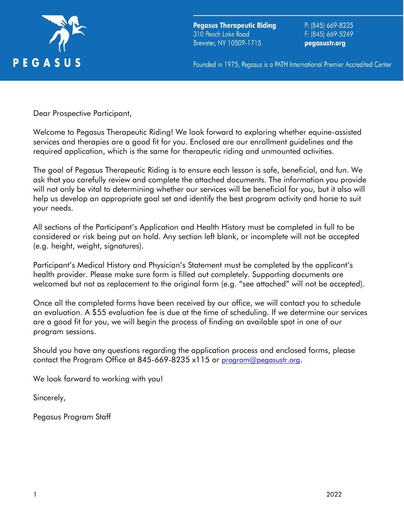

**Pegasus Therapeutic Riding** 310 Peach Lake Road Brewster, NY 10509-1715

P: (845) 669-8235 F: (845) 669-5249 pegasustr.org

Founded in 1975, Pegasus is a PATH International Premier Accredited Center

Dear Prospective Participant,

Welcome to Pegasus Therapeutic Riding! We look forward to exploring whether equine-assisted services and therapies are a good fit for you. Enclosed are our enrollment guidelines and the required application, which is the same for therapeutic riding and unmounted activities.

The goal of Pegasus Therapeutic Riding is to ensure each lesson is safe, beneficial, and fun. We ask that you carefully review and complete the attached documents. The information you provide will not only be vital to determining whether our services will be beneficial for you, but it also will help us develop an appropriate goal set and identify the best program activity and horse to suit your needs.

All sections of the Participant's Application and Health History must be completed in full to be considered or risk being put on hold. Any section left blank, or incomplete will not be accepted (e.g. height, weight, signatures).

Participant's Medical History and Physician's Statement must be completed by the applicant's health provider. Please make sure form is filled out completely. Supporting documents are welcomed but not as replacement to the original form (e.g. "see attached" will not be accepted).

Once all the completed forms have been received by our office, we will contact you to schedule an evaluation. A \$55 evaluation fee is due at the time of scheduling. If we determine our services are a good fit for you, we will begin the process of finding an available spot in one of our program sessions.

Should you have any questions regarding the application process and enclosed forms, please contact the Program Office at 845-669-8235 x115 or [program@pegasustr.org](mailto:program@pegasustr.org).

We look forward to working with you!

Sincerely,

Pegasus Program Staff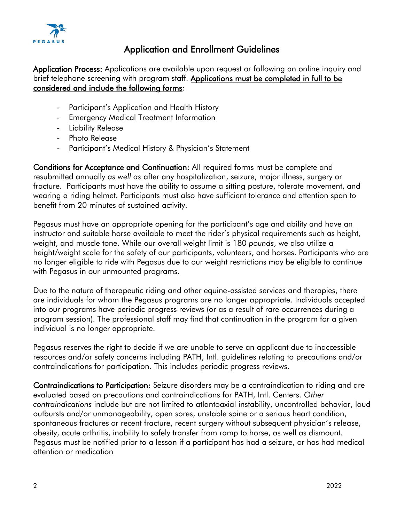

## Application and Enrollment Guidelines

Application Process: Applications are available upon request or following an online inquiry and brief telephone screening with program staff. Applications must be completed in full to be considered and include the following forms:

- Participant's Application and Health History
- Emergency Medical Treatment Information
- Liability Release
- Photo Release
- Participant's Medical History & Physician's Statement

Conditions for Acceptance and Continuation: All required forms must be complete and resubmitted annually *as well as* after any hospitalization, seizure, major illness, surgery or fracture. Participants must have the ability to assume a sitting posture, tolerate movement, and wearing a riding helmet. Participants must also have sufficient tolerance and attention span to benefit from 20 minutes of sustained activity.

Pegasus must have an appropriate opening for the participant's age and ability and have an instructor and suitable horse available to meet the rider's physical requirements such as height, weight, and muscle tone. While our overall weight limit is 180 *pounds*, we also utilize a height/weight scale for the safety of our participants, volunteers, and horses. Participants who are no longer eligible to ride with Pegasus due to our weight restrictions may be eligible to continue with Pegasus in our unmounted programs.

Due to the nature of therapeutic riding and other equine-assisted services and therapies, there are individuals for whom the Pegasus programs are no longer appropriate. Individuals accepted into our programs have periodic progress reviews (or as a result of rare occurrences during a program session). The professional staff may find that continuation in the program for a given individual is no longer appropriate.

Pegasus reserves the right to decide if we are unable to serve an applicant due to inaccessible resources and/or safety concerns including PATH, Intl. guidelines relating to precautions and/or contraindications for participation. This includes periodic progress reviews.

Contraindications to Participation: Seizure disorders may be a contraindication to riding and are evaluated based on precautions and contraindications for PATH, Intl. Centers. *Other contraindications* include but are not limited to atlantoaxial instability, uncontrolled behavior, loud outbursts and/or unmanageability, open sores, unstable spine or a serious heart condition, spontaneous fractures or recent fracture, recent surgery without subsequent physician's release, obesity, acute arthritis, inability to safely transfer from ramp to horse, as well as dismount. Pegasus must be notified prior to a lesson if a participant has had a seizure, or has had medical attention or medication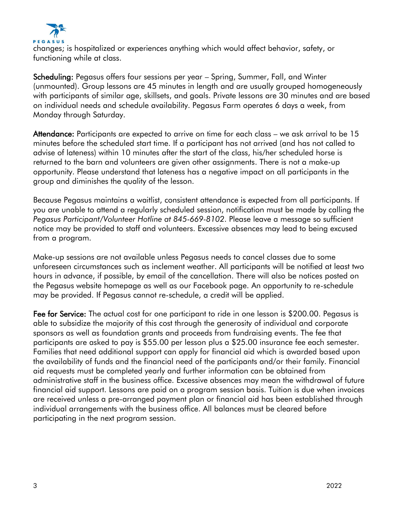

changes; is hospitalized or experiences anything which would affect behavior, safety, or functioning while at class.

Scheduling: Pegasus offers four sessions per year – Spring, Summer, Fall, and Winter (unmounted). Group lessons are 45 minutes in length and are usually grouped homogeneously with participants of similar age, skillsets, and goals. Private lessons are 30 minutes and are based on individual needs and schedule availability. Pegasus Farm operates 6 days a week, from Monday through Saturday.

Attendance: Participants are expected to arrive on time for each class – we ask arrival to be 15 minutes before the scheduled start time. If a participant has not arrived (and has not called to advise of lateness) within 10 minutes after the start of the class, his/her scheduled horse is returned to the barn and volunteers are given other assignments. There is not a make-up opportunity. Please understand that lateness has a negative impact on all participants in the group and diminishes the quality of the lesson.

Because Pegasus maintains a waitlist, consistent attendance is expected from all participants. If you are unable to attend a regularly scheduled session, notification must be made by calling the *Pegasus Participant/Volunteer Hotline at 845-669-8102*. Please leave a message so sufficient notice may be provided to staff and volunteers. Excessive absences may lead to being excused from a program.

Make-up sessions are not available unless Pegasus needs to cancel classes due to some unforeseen circumstances such as inclement weather. All participants will be notified at least two hours in advance, if possible, by email of the cancellation. There will also be notices posted on the Pegasus website homepage as well as our Facebook page. An opportunity to re-schedule may be provided. If Pegasus cannot re-schedule, a credit will be applied.

Fee for Service: The actual cost for one participant to ride in one lesson is \$200.00. Pegasus is able to subsidize the majority of this cost through the generosity of individual and corporate sponsors as well as foundation grants and proceeds from fundraising events. The fee that participants are asked to pay is \$55.00 per lesson plus a \$25.00 insurance fee each semester. Families that need additional support can apply for financial aid which is awarded based upon the availability of funds and the financial need of the participants and/or their family. Financial aid requests must be completed yearly and further information can be obtained from administrative staff in the business office. Excessive absences may mean the withdrawal of future financial aid support. Lessons are paid on a program session basis. Tuition is due when invoices are received unless a pre-arranged payment plan or financial aid has been established through individual arrangements with the business office. All balances must be cleared before participating in the next program session.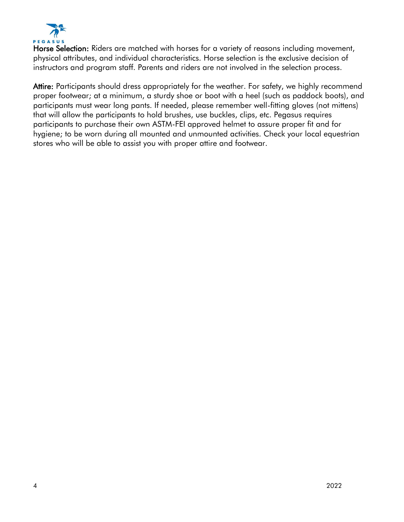

Horse Selection: Riders are matched with horses for a variety of reasons including movement, physical attributes, and individual characteristics. Horse selection is the exclusive decision of instructors and program staff. Parents and riders are not involved in the selection process.

Attire: Participants should dress appropriately for the weather. For safety, we highly recommend proper footwear; at a minimum, a sturdy shoe or boot with a heel (such as paddock boots), and participants must wear long pants. If needed, please remember well-fitting gloves (not mittens) that will allow the participants to hold brushes, use buckles, clips, etc. Pegasus requires participants to purchase their own ASTM-FEI approved helmet to assure proper fit and for hygiene; to be worn during all mounted and unmounted activities. Check your local equestrian stores who will be able to assist you with proper attire and footwear.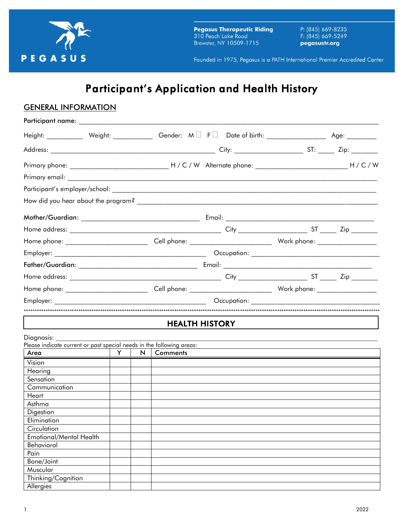

**Pegasus Therapeutic Riding** 310 Peach Lake Road Brewster, NY 10509-1715

P: (845) 669-8235 F: (845) 669-5249 pegasustr.org

Founded in 1975, Pegasus is a PATH International Premier Accredited Center

# *Participant's Application and Health History*

| <b>GENERAL INFORMATION</b>                                                                                                                                                                                                    |               |   |          |                       |  |
|-------------------------------------------------------------------------------------------------------------------------------------------------------------------------------------------------------------------------------|---------------|---|----------|-----------------------|--|
| Participant name: ________________________                                                                                                                                                                                    |               |   |          |                       |  |
| Height: ___________ Weight: ___________ Gender: $M \Box$ F $\Box$ Date of birth: ________________ Age: _________                                                                                                              |               |   |          |                       |  |
|                                                                                                                                                                                                                               |               |   |          |                       |  |
|                                                                                                                                                                                                                               |               |   |          |                       |  |
|                                                                                                                                                                                                                               |               |   |          |                       |  |
|                                                                                                                                                                                                                               |               |   |          |                       |  |
|                                                                                                                                                                                                                               |               |   |          |                       |  |
|                                                                                                                                                                                                                               |               |   |          |                       |  |
|                                                                                                                                                                                                                               |               |   |          |                       |  |
|                                                                                                                                                                                                                               |               |   |          |                       |  |
|                                                                                                                                                                                                                               |               |   |          |                       |  |
|                                                                                                                                                                                                                               |               |   |          |                       |  |
|                                                                                                                                                                                                                               |               |   |          |                       |  |
|                                                                                                                                                                                                                               |               |   |          |                       |  |
|                                                                                                                                                                                                                               |               |   |          |                       |  |
| Employer: and the contract of the contract of the contract of the contract of the contract of the contract of the contract of the contract of the contract of the contract of the contract of the contract of the contract of |               |   |          |                       |  |
|                                                                                                                                                                                                                               |               |   |          |                       |  |
|                                                                                                                                                                                                                               |               |   |          | <b>HEALTH HISTORY</b> |  |
| Diagnosis:                                                                                                                                                                                                                    |               |   |          |                       |  |
| Please indicate current or past special needs in the following areas:                                                                                                                                                         |               |   |          |                       |  |
| Area                                                                                                                                                                                                                          | $Y \parallel$ | N | Comments |                       |  |
| Vision                                                                                                                                                                                                                        |               |   |          |                       |  |
| Hearing<br>Sensation                                                                                                                                                                                                          |               |   |          |                       |  |
| Communication                                                                                                                                                                                                                 |               |   |          |                       |  |
| Heart                                                                                                                                                                                                                         |               |   |          |                       |  |
| Asthma                                                                                                                                                                                                                        |               |   |          |                       |  |
| Digestion                                                                                                                                                                                                                     |               |   |          |                       |  |
| Elimination                                                                                                                                                                                                                   |               |   |          |                       |  |
| Circulation                                                                                                                                                                                                                   |               |   |          |                       |  |
| Emotional/Mental Health                                                                                                                                                                                                       |               |   |          |                       |  |
| Behavioral                                                                                                                                                                                                                    |               |   |          |                       |  |
| Pain                                                                                                                                                                                                                          |               |   |          |                       |  |
| Bone/Joint                                                                                                                                                                                                                    |               |   |          |                       |  |
| Muscular                                                                                                                                                                                                                      |               |   |          |                       |  |
| Thinking/Cognition                                                                                                                                                                                                            |               |   |          |                       |  |
| Allergies                                                                                                                                                                                                                     |               |   |          |                       |  |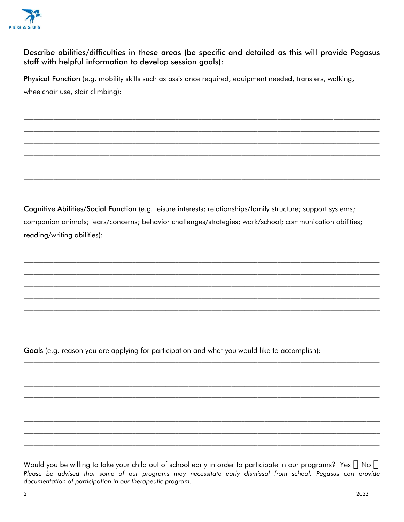

#### Describe abilities/difficulties in these areas (be specific and detailed as this will provide Pegasus staff with helpful information to develop session goals):

Physical Function (e.g. mobility skills such as assistance required, equipment needed, transfers, walking, wheelchair use, stair climbing):

Cognitive Abilities/Social Function (e.g. leisure interests; relationships/family structure; support systems; companion animals; fears/concerns; behavior challenges/strategies; work/school; communication abilities; reading/writing abilities):

Goals (e.g. reason you are applying for participation and what you would like to accomplish):

Would you be willing to take your child out of school early in order to participate in our programs? Yes  $\Box$  No  $\Box$ Please be advised that some of our programs may necessitate early dismissal from school. Pegasus can provide documentation of participation in our therapeutic program.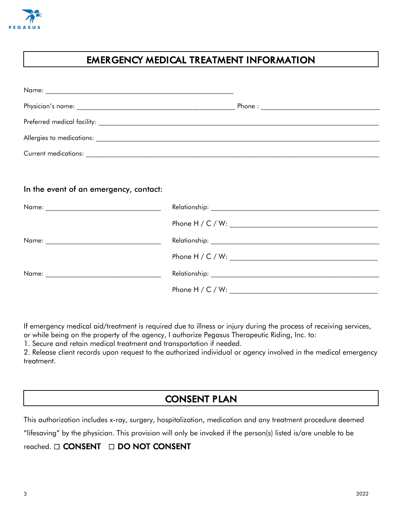

## *EMERGENCY MEDICAL TREATMENT INFORMATION*

| In the event of an emergency, contact: |               |
|----------------------------------------|---------------|
|                                        |               |
|                                        |               |
| Name:                                  | Relationship: |

|       | Phone $H / C / W$ : |
|-------|---------------------|
| Name: | Relationship:       |
|       | Phone $H / C / W$ : |

If emergency medical aid/treatment is required due to illness or injury during the process of receiving services, or while being on the property of the agency, I authorize Pegasus Therapeutic Riding, Inc. to:

1. Secure and retain medical treatment and transportation if needed.

2. Release client records upon request to the authorized individual or agency involved in the medical emergency treatment.

## *CONSENT PLAN*

This authorization includes x-ray, surgery, hospitalization, medication and any treatment procedure deemed

"lifesaving" by the physician. This provision will only be invoked if the person(s) listed is/are unable to be

#### reached.  *CONSENT DO NOT CONSENT*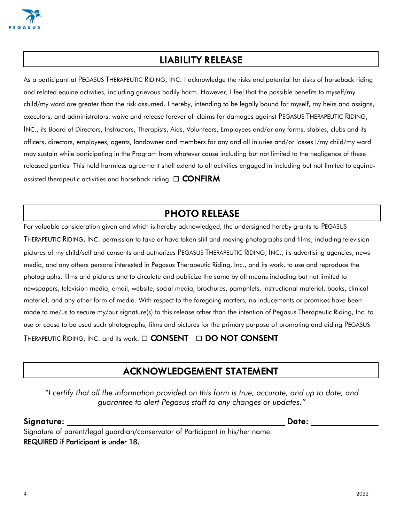

## *LIABILITY RELEASE*

As a participant at PEGASUS THERAPEUTIC RIDING, INC. I acknowledge the risks and potential for risks of horseback riding and related equine activities, including grievous bodily harm. However, I feel that the possible benefits to myself/my child/my ward are greater than the risk assumed. I hereby, intending to be legally bound for myself, my heirs and assigns, executors, and administrators, waive and release forever all claims for damages against PEGASUS THERAPEUTIC RIDING, INC., its Board of Directors, Instructors, Therapists, Aids, Volunteers, Employees and/or any farms, stables, clubs and its officers, directors, employees, agents, landowner and members for any and all injuries and/or losses I/my child/my ward may sustain while participating in the Program from whatever cause including but not limited to the negligence of these released parties. This hold harmless agreement shall extend to all activities engaged in including but not limited to equineassisted therapeutic activities and horseback riding.  *CONFIRM*

## *PHOTO RELEASE*

For valuable consideration given and which is hereby acknowledged, the undersigned hereby grants to PEGASUS THERAPEUTIC RIDING, INC. permission to take or have taken still and moving photographs and films, including television pictures of my child/self and consents and authorizes PEGASUS THERAPEUTIC RIDING, INC., its advertising agencies, news media, and any others persons interested in Pegasus Therapeutic Riding, Inc., and its work, to use and reproduce the photographs, films and pictures and to circulate and publicize the same by all means including but not limited to newspapers, television media, email, website, social media, brochures, pamphlets, instructional material, books, clinical material, and any other form of media. With respect to the foregoing matters, no inducements or promises have been made to me/us to secure my/our signature(s) to this release other than the intention of Pegasus Therapeutic Riding, Inc. to use or cause to be used such photographs, films and pictures for the primary purpose of promoting and aiding PEGASUS THERAPEUTIC RIDING, INC. and its work.  *CONSENT DO NOT CONSENT*

## *ACKNOWLEDGEMENT STATEMENT*

*"I certify that all the information provided on this form is true, accurate, and up to date, and guarantee to alert Pegasus staff to any changes or updates."*

#### ${\sf Signature:}$

Signature of parent/legal guardian/conservator of Participant in his/her name. REQUIRED if Participant is under 18.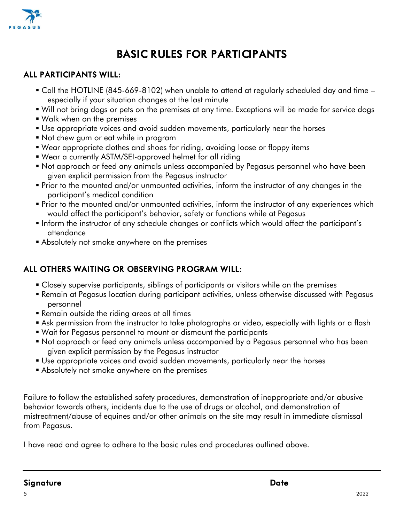

# *BASIC RULES FOR PARTICIPANTS*

### *ALL PARTICIPANTS WILL:*

- Call the HOTLINE (845-669-8102) when unable to attend at regularly scheduled day and time especially if your situation changes at the last minute
- Will not bring dogs or pets on the premises at any time. Exceptions will be made for service dogs
- Walk when on the premises
- Use appropriate voices and avoid sudden movements, particularly near the horses
- Not chew gum or eat while in program
- Wear appropriate clothes and shoes for riding, avoiding loose or floppy items
- Wear a currently ASTM/SEI-approved helmet for all riding
- Not approach or feed any animals unless accompanied by Pegasus personnel who have been given explicit permission from the Pegasus instructor
- Prior to the mounted and/or unmounted activities, inform the instructor of any changes in the participant's medical condition
- Prior to the mounted and/or unmounted activities, inform the instructor of any experiences which would affect the participant's behavior, safety or functions while at Pegasus
- Inform the instructor of any schedule changes or conflicts which would affect the participant's attendance
- **Example 1** Absolutely not smoke anywhere on the premises

### *ALL OTHERS WAITING OR OBSERVING PROGRAM WILL:*

- Closely supervise participants, siblings of participants or visitors while on the premises
- Remain at Pegasus location during participant activities, unless otherwise discussed with Pegasus personnel
- **Remain outside the riding areas at all times**
- **E** Ask permission from the instructor to take photographs or video, especially with lights or a flash
- Wait for Pegasus personnel to mount or dismount the participants
- Not approach or feed any animals unless accompanied by a Pegasus personnel who has been given explicit permission by the Pegasus instructor
- Use appropriate voices and avoid sudden movements, particularly near the horses
- **E** Absolutely not smoke anywhere on the premises

Failure to follow the established safety procedures, demonstration of inappropriate and/or abusive behavior towards others, incidents due to the use of drugs or alcohol, and demonstration of mistreatment/abuse of equines and/or other animals on the site may result in immediate dismissal from Pegasus.

I have read and agree to adhere to the basic rules and procedures outlined above.

### *Signature Date*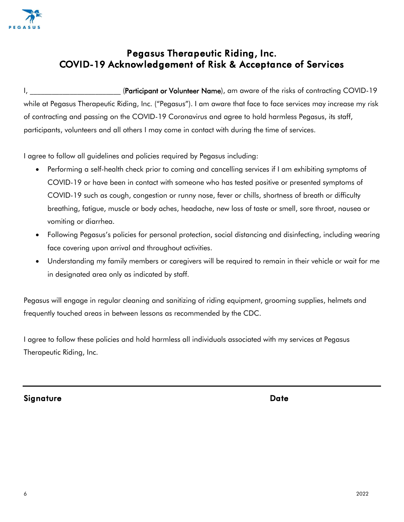

## *Pegasus Therapeutic Riding, Inc. COVID-19 Acknowledgement of Risk & Acceptance of Services*

I, **EXECT:** (Participant or Volunteer Name), am aware of the risks of contracting COVID-19 while at Pegasus Therapeutic Riding, Inc. ("Pegasus"). I am aware that face to face services may increase my risk of contracting and passing on the COVID-19 Coronavirus and agree to hold harmless Pegasus, its staff, participants, volunteers and all others I may come in contact with during the time of services.

I agree to follow all guidelines and policies required by Pegasus including:

- Performing a self-health check prior to coming and cancelling services if I am exhibiting symptoms of COVID-19 or have been in contact with someone who has tested positive or presented symptoms of COVID-19 such as cough, congestion or runny nose, fever or chills, shortness of breath or difficulty breathing, fatigue, muscle or body aches, headache, new loss of taste or smell, sore throat, nausea or vomiting or diarrhea.
- Following Pegasus's policies for personal protection, social distancing and disinfecting, including wearing face covering upon arrival and throughout activities.
- Understanding my family members or caregivers will be required to remain in their vehicle or wait for me in designated area only as indicated by staff.

Pegasus will engage in regular cleaning and sanitizing of riding equipment, grooming supplies, helmets and frequently touched areas in between lessons as recommended by the CDC.

I agree to follow these policies and hold harmless all individuals associated with my services at Pegasus Therapeutic Riding, Inc.

*Signature Date*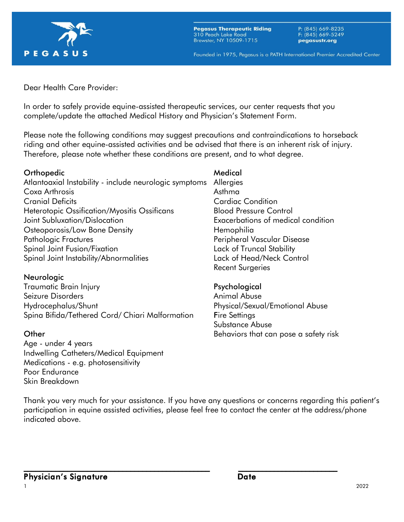

**Pegasus Therapeutic Riding** 310 Peach Lake Road Brewster, NY 10509-1715

P: (845) 669-8235<br>F: (845) 669-5249 pegasustr.org

Founded in 1975, Pegasus is a PATH International Premier Accredited Center

Dear Health Care Provider:

In order to safely provide equine-assisted therapeutic services, our center requests that you complete/update the attached Medical History and Physician's Statement Form.

Please note the following conditions may suggest precautions and contraindications to horseback riding and other equine-assisted activities and be advised that there is an inherent risk of injury. Therefore, please note whether these conditions are present, and to what degree.

#### Orthopedic and a settlement of the Medical

Atlantoaxial Instability - include neurologic symptoms Allergies Coxa Arthrosis **Asthma** Cranial Deficits Cardiac Condition Heterotopic Ossification/Myositis Ossificans Blood Pressure Control Joint Subluxation/Dislocation Exacerbations of medical condition Osteoporosis/Low Bone Density **Example 20** Hemophilia Pathologic Fractures **Peripheral Vascular Disease** Spinal Joint Fusion/Fixation Lack of Truncal Stability Spinal Joint Instability/Abnormalities Lack of Head/Neck Control

#### Neurologic

Traumatic Brain Injury **Psychological** Seizure Disorders **Animal Abuse** Animal Abuse Hydrocephalus/Shunt **Physical/Sexual/Emotional Abuse** Spina Bifida/Tethered Cord/ Chiari Malformation Fire Settings

Age - under 4 years Indwelling Catheters/Medical Equipment Medications - e.g. photosensitivity Poor Endurance Skin Breakdown

Recent Surgeries

Substance Abuse **Other Behaviors that can pose a safety risk Department Community** Behaviors that can pose a safety risk

Thank you very much for your assistance. If you have any questions or concerns regarding this patient's participation in equine assisted activities, please feel free to contact the center at the address/phone indicated above.

 $\_$  , and the contribution of the contribution of  $\overline{\phantom{a}}$  ,  $\overline{\phantom{a}}$  ,  $\overline{\phantom{a}}$  ,  $\overline{\phantom{a}}$  ,  $\overline{\phantom{a}}$  ,  $\overline{\phantom{a}}$  ,  $\overline{\phantom{a}}$  ,  $\overline{\phantom{a}}$  ,  $\overline{\phantom{a}}$  ,  $\overline{\phantom{a}}$  ,  $\overline{\phantom{a}}$  ,  $\overline{\phantom{a}}$  ,  $\over$